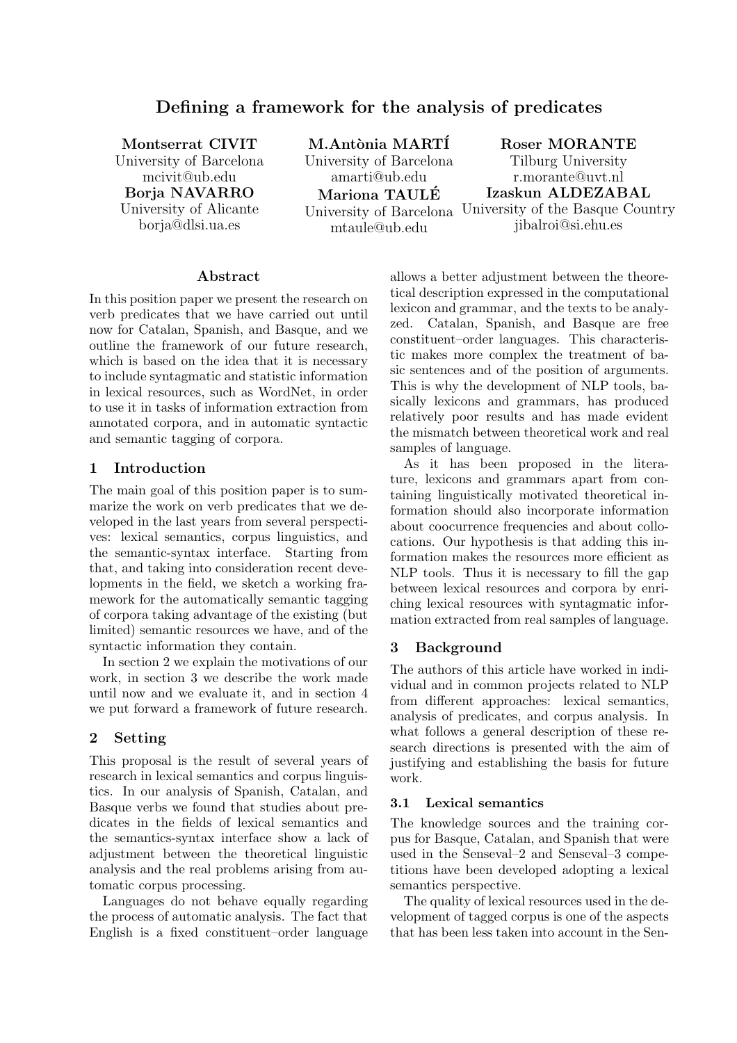# Defining a framework for the analysis of predicates

Montserrat CIVIT University of Barcelona mcivit@ub.edu Borja NAVARRO University of Alicante borja@dlsi.ua.es

M.Antònia MARTÍ University of Barcelona amarti@ub.edu Mariona TAULE´ University of Barcelona University of the Basque Country mtaule@ub.edu

Roser MORANTE

Tilburg University r.morante@uvt.nl Izaskun ALDEZABAL

jibalroi@si.ehu.es

#### Abstract

In this position paper we present the research on verb predicates that we have carried out until now for Catalan, Spanish, and Basque, and we outline the framework of our future research, which is based on the idea that it is necessary to include syntagmatic and statistic information in lexical resources, such as WordNet, in order to use it in tasks of information extraction from annotated corpora, and in automatic syntactic and semantic tagging of corpora.

#### 1 Introduction

The main goal of this position paper is to summarize the work on verb predicates that we developed in the last years from several perspectives: lexical semantics, corpus linguistics, and the semantic-syntax interface. Starting from that, and taking into consideration recent developments in the field, we sketch a working framework for the automatically semantic tagging of corpora taking advantage of the existing (but limited) semantic resources we have, and of the syntactic information they contain.

In section 2 we explain the motivations of our work, in section 3 we describe the work made until now and we evaluate it, and in section 4 we put forward a framework of future research.

#### 2 Setting

This proposal is the result of several years of research in lexical semantics and corpus linguistics. In our analysis of Spanish, Catalan, and Basque verbs we found that studies about predicates in the fields of lexical semantics and the semantics-syntax interface show a lack of adjustment between the theoretical linguistic analysis and the real problems arising from automatic corpus processing.

Languages do not behave equally regarding the process of automatic analysis. The fact that English is a fixed constituent–order language

allows a better adjustment between the theoretical description expressed in the computational lexicon and grammar, and the texts to be analyzed. Catalan, Spanish, and Basque are free constituent–order languages. This characteristic makes more complex the treatment of basic sentences and of the position of arguments. This is why the development of NLP tools, basically lexicons and grammars, has produced relatively poor results and has made evident the mismatch between theoretical work and real samples of language.

As it has been proposed in the literature, lexicons and grammars apart from containing linguistically motivated theoretical information should also incorporate information about coocurrence frequencies and about collocations. Our hypothesis is that adding this information makes the resources more efficient as NLP tools. Thus it is necessary to fill the gap between lexical resources and corpora by enriching lexical resources with syntagmatic information extracted from real samples of language.

## 3 Background

The authors of this article have worked in individual and in common projects related to NLP from different approaches: lexical semantics, analysis of predicates, and corpus analysis. In what follows a general description of these research directions is presented with the aim of justifying and establishing the basis for future work.

#### 3.1 Lexical semantics

The knowledge sources and the training corpus for Basque, Catalan, and Spanish that were used in the Senseval–2 and Senseval–3 competitions have been developed adopting a lexical semantics perspective.

The quality of lexical resources used in the development of tagged corpus is one of the aspects that has been less taken into account in the Sen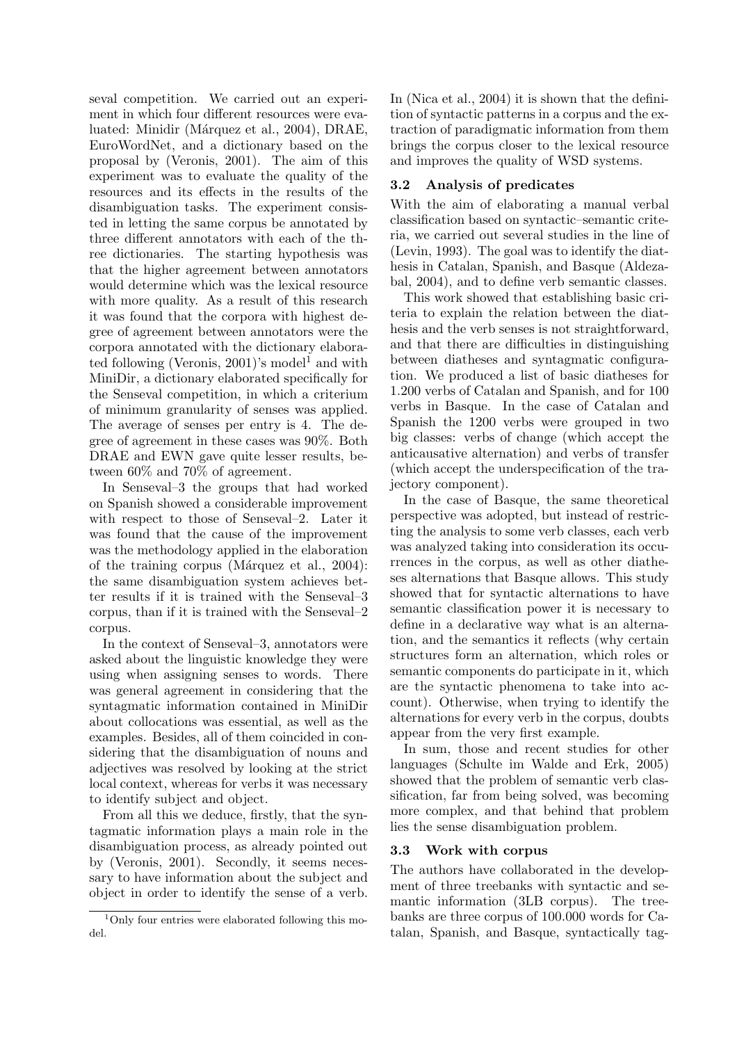seval competition. We carried out an experiment in which four different resources were evaluated: Minidir (Márquez et al., 2004), DRAE, EuroWordNet, and a dictionary based on the proposal by (Veronis, 2001). The aim of this experiment was to evaluate the quality of the resources and its effects in the results of the disambiguation tasks. The experiment consisted in letting the same corpus be annotated by three different annotators with each of the three dictionaries. The starting hypothesis was that the higher agreement between annotators would determine which was the lexical resource with more quality. As a result of this research it was found that the corpora with highest degree of agreement between annotators were the corpora annotated with the dictionary elaborated following (Veronis,  $2001$ )'s model<sup>1</sup> and with MiniDir, a dictionary elaborated specifically for the Senseval competition, in which a criterium of minimum granularity of senses was applied. The average of senses per entry is 4. The degree of agreement in these cases was 90%. Both DRAE and EWN gave quite lesser results, between 60% and 70% of agreement.

In Senseval–3 the groups that had worked on Spanish showed a considerable improvement with respect to those of Senseval–2. Later it was found that the cause of the improvement was the methodology applied in the elaboration of the training corpus (Marquez et al.,  $2004$ ): the same disambiguation system achieves better results if it is trained with the Senseval–3 corpus, than if it is trained with the Senseval–2 corpus.

In the context of Senseval–3, annotators were asked about the linguistic knowledge they were using when assigning senses to words. There was general agreement in considering that the syntagmatic information contained in MiniDir about collocations was essential, as well as the examples. Besides, all of them coincided in considering that the disambiguation of nouns and adjectives was resolved by looking at the strict local context, whereas for verbs it was necessary to identify subject and object.

From all this we deduce, firstly, that the syntagmatic information plays a main role in the disambiguation process, as already pointed out by (Veronis, 2001). Secondly, it seems necessary to have information about the subject and object in order to identify the sense of a verb. In (Nica et al., 2004) it is shown that the definition of syntactic patterns in a corpus and the extraction of paradigmatic information from them brings the corpus closer to the lexical resource and improves the quality of WSD systems.

### 3.2 Analysis of predicates

With the aim of elaborating a manual verbal classification based on syntactic–semantic criteria, we carried out several studies in the line of (Levin, 1993). The goal was to identify the diathesis in Catalan, Spanish, and Basque (Aldezabal, 2004), and to define verb semantic classes.

This work showed that establishing basic criteria to explain the relation between the diathesis and the verb senses is not straightforward, and that there are difficulties in distinguishing between diatheses and syntagmatic configuration. We produced a list of basic diatheses for 1.200 verbs of Catalan and Spanish, and for 100 verbs in Basque. In the case of Catalan and Spanish the 1200 verbs were grouped in two big classes: verbs of change (which accept the anticausative alternation) and verbs of transfer (which accept the underspecification of the trajectory component).

In the case of Basque, the same theoretical perspective was adopted, but instead of restricting the analysis to some verb classes, each verb was analyzed taking into consideration its occurrences in the corpus, as well as other diatheses alternations that Basque allows. This study showed that for syntactic alternations to have semantic classification power it is necessary to define in a declarative way what is an alternation, and the semantics it reflects (why certain structures form an alternation, which roles or semantic components do participate in it, which are the syntactic phenomena to take into account). Otherwise, when trying to identify the alternations for every verb in the corpus, doubts appear from the very first example.

In sum, those and recent studies for other languages (Schulte im Walde and Erk, 2005) showed that the problem of semantic verb classification, far from being solved, was becoming more complex, and that behind that problem lies the sense disambiguation problem.

## 3.3 Work with corpus

The authors have collaborated in the development of three treebanks with syntactic and semantic information (3LB corpus). The treebanks are three corpus of 100.000 words for Catalan, Spanish, and Basque, syntactically tag-

<sup>1</sup>Only four entries were elaborated following this model.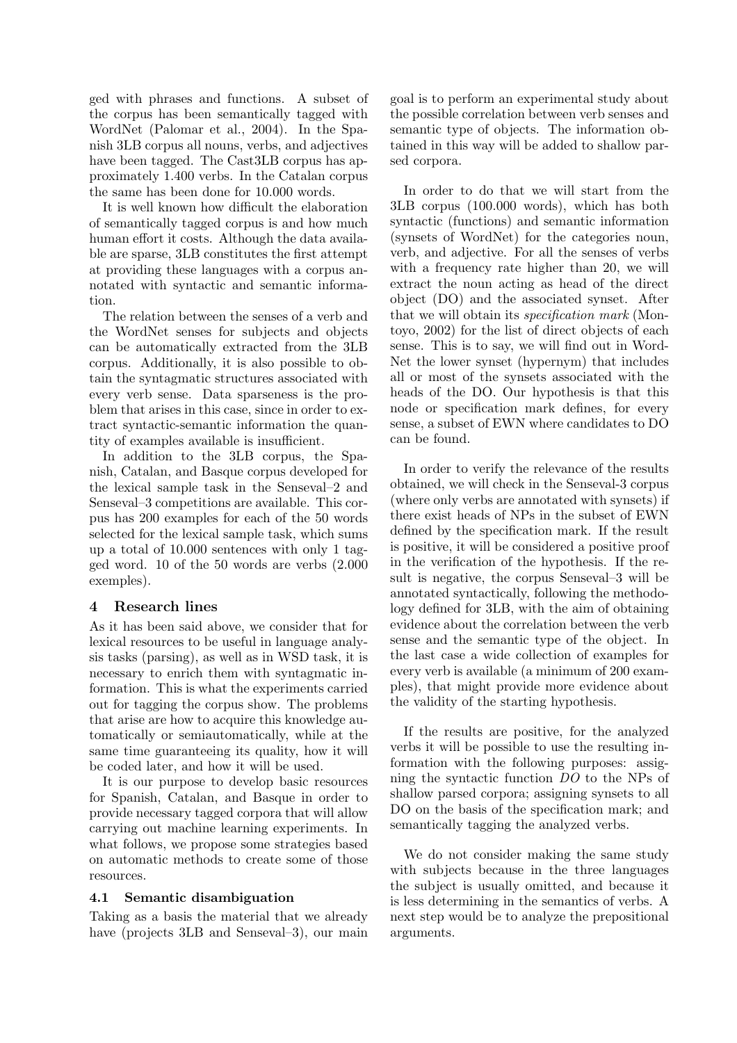ged with phrases and functions. A subset of the corpus has been semantically tagged with WordNet (Palomar et al., 2004). In the Spanish 3LB corpus all nouns, verbs, and adjectives have been tagged. The Cast3LB corpus has approximately 1.400 verbs. In the Catalan corpus the same has been done for 10.000 words.

It is well known how difficult the elaboration of semantically tagged corpus is and how much human effort it costs. Although the data available are sparse, 3LB constitutes the first attempt at providing these languages with a corpus annotated with syntactic and semantic information.

The relation between the senses of a verb and the WordNet senses for subjects and objects can be automatically extracted from the 3LB corpus. Additionally, it is also possible to obtain the syntagmatic structures associated with every verb sense. Data sparseness is the problem that arises in this case, since in order to extract syntactic-semantic information the quantity of examples available is insufficient.

In addition to the 3LB corpus, the Spanish, Catalan, and Basque corpus developed for the lexical sample task in the Senseval–2 and Senseval–3 competitions are available. This corpus has 200 examples for each of the 50 words selected for the lexical sample task, which sums up a total of 10.000 sentences with only 1 tagged word. 10 of the 50 words are verbs (2.000 exemples).

## 4 Research lines

As it has been said above, we consider that for lexical resources to be useful in language analysis tasks (parsing), as well as in WSD task, it is necessary to enrich them with syntagmatic information. This is what the experiments carried out for tagging the corpus show. The problems that arise are how to acquire this knowledge automatically or semiautomatically, while at the same time guaranteeing its quality, how it will be coded later, and how it will be used.

It is our purpose to develop basic resources for Spanish, Catalan, and Basque in order to provide necessary tagged corpora that will allow carrying out machine learning experiments. In what follows, we propose some strategies based on automatic methods to create some of those resources.

## 4.1 Semantic disambiguation

Taking as a basis the material that we already have (projects 3LB and Senseval–3), our main

goal is to perform an experimental study about the possible correlation between verb senses and semantic type of objects. The information obtained in this way will be added to shallow parsed corpora.

In order to do that we will start from the 3LB corpus (100.000 words), which has both syntactic (functions) and semantic information (synsets of WordNet) for the categories noun, verb, and adjective. For all the senses of verbs with a frequency rate higher than 20, we will extract the noun acting as head of the direct object (DO) and the associated synset. After that we will obtain its *specification mark* (Montoyo, 2002) for the list of direct objects of each sense. This is to say, we will find out in Word-Net the lower synset (hypernym) that includes all or most of the synsets associated with the heads of the DO. Our hypothesis is that this node or specification mark defines, for every sense, a subset of EWN where candidates to DO can be found.

In order to verify the relevance of the results obtained, we will check in the Senseval-3 corpus (where only verbs are annotated with synsets) if there exist heads of NPs in the subset of EWN defined by the specification mark. If the result is positive, it will be considered a positive proof in the verification of the hypothesis. If the result is negative, the corpus Senseval–3 will be annotated syntactically, following the methodology defined for 3LB, with the aim of obtaining evidence about the correlation between the verb sense and the semantic type of the object. In the last case a wide collection of examples for every verb is available (a minimum of 200 examples), that might provide more evidence about the validity of the starting hypothesis.

If the results are positive, for the analyzed verbs it will be possible to use the resulting information with the following purposes: assigning the syntactic function DO to the NPs of shallow parsed corpora; assigning synsets to all DO on the basis of the specification mark; and semantically tagging the analyzed verbs.

We do not consider making the same study with subjects because in the three languages the subject is usually omitted, and because it is less determining in the semantics of verbs. A next step would be to analyze the prepositional arguments.